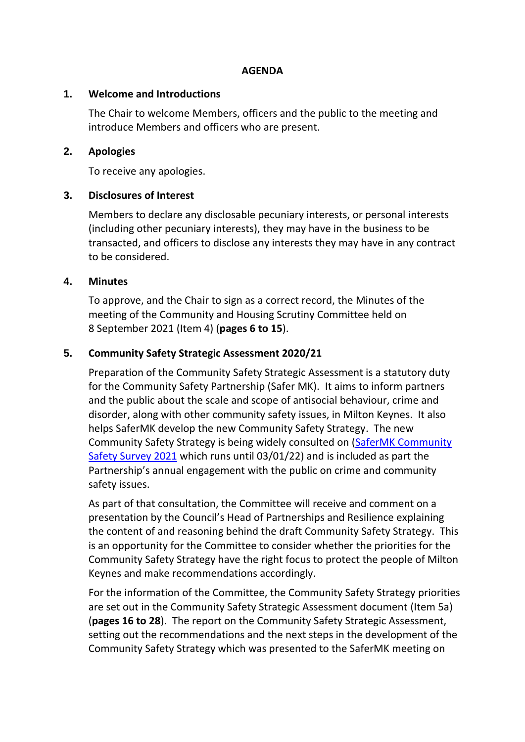#### **AGENDA**

#### **1. Welcome and Introductions**

The Chair to welcome Members, officers and the public to the meeting and introduce Members and officers who are present.

#### **2. Apologies**

To receive any apologies.

## **3. Disclosures of Interest**

Members to declare any disclosable pecuniary interests, or personal interests (including other pecuniary interests), they may have in the business to be transacted, and officers to disclose any interests they may have in any contract to be considered.

#### **4. Minutes**

To approve, and the Chair to sign as a correct record, the Minutes of the meeting of the Community and Housing Scrutiny Committee held on 8 September 2021 (Item 4) (**pages 6 to 15**).

## **5. Community Safety Strategic Assessment 2020/21**

Preparation of the Community Safety Strategic Assessment is a statutory duty for the Community Safety Partnership (Safer MK). It aims to inform partners and the public about the scale and scope of antisocial behaviour, crime and disorder, along with other community safety issues, in Milton Keynes. It also helps SaferMK develop the new Community Safety Strategy. The new Community Safety Strategy is being widely consulted on [\(SaferMK Community](https://www.milton-keynes.gov.uk/consultations/662)  [Safety Survey 2021](https://www.milton-keynes.gov.uk/consultations/662) which runs until 03/01/22) and is included as part the Partnership's annual engagement with the public on crime and community safety issues.

As part of that consultation, the Committee will receive and comment on a presentation by the Council's Head of Partnerships and Resilience explaining the content of and reasoning behind the draft Community Safety Strategy. This is an opportunity for the Committee to consider whether the priorities for the Community Safety Strategy have the right focus to protect the people of Milton Keynes and make recommendations accordingly.

For the information of the Committee, the Community Safety Strategy priorities are set out in the Community Safety Strategic Assessment document (Item 5a) (**pages 16 to 28**). The report on the Community Safety Strategic Assessment, setting out the recommendations and the next steps in the development of the Community Safety Strategy which was presented to the SaferMK meeting on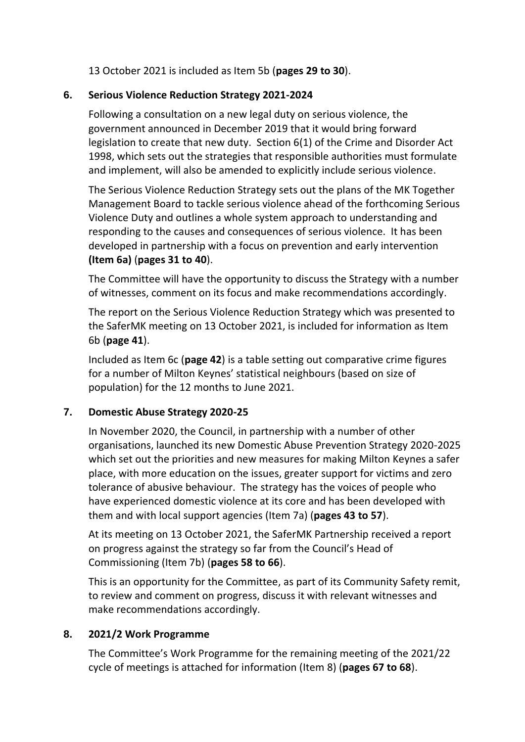13 October 2021 is included as Item 5b (**pages 29 to 30**).

## **6. Serious Violence Reduction Strategy 2021-2024**

Following a consultation on a new legal duty on serious violence, the government announced in December 2019 that it would bring forward legislation to create that new duty. [Section 6\(1\) of the Crime and Disorder Act](https://www.legislation.gov.uk/ukpga/1998/37/section/6)  [1998,](https://www.legislation.gov.uk/ukpga/1998/37/section/6) which sets out the strategies that responsible authorities must formulate and implement, will also be amended to explicitly include serious violence.

The Serious Violence Reduction Strategy sets out the plans of the MK Together Management Board to tackle serious violence ahead of the forthcoming Serious Violence Duty and outlines a whole system approach to understanding and responding to the causes and consequences of serious violence. It has been developed in partnership with a focus on prevention and early intervention **(Item 6a)** (**pages 31 to 40**).

The Committee will have the opportunity to discuss the Strategy with a number of witnesses, comment on its focus and make recommendations accordingly.

The report on the Serious Violence Reduction Strategy which was presented to the SaferMK meeting on 13 October 2021, is included for information as Item 6b (**page 41**).

Included as Item 6c (**page 42**) is a table setting out comparative crime figures for a number of Milton Keynes' statistical neighbours (based on size of population) for the 12 months to June 2021.

# **7. Domestic Abuse Strategy 2020-25**

In November 2020, the Council, in partnership with a number of other organisations, launched its new Domestic Abuse Prevention Strategy 2020-2025 which set out the priorities and new measures for making Milton Keynes a safer place, with more education on the issues, greater support for victims and zero tolerance of abusive behaviour. The strategy has the voices of people who have experienced domestic violence at its core and has been developed with them and with local support agencies (Item 7a) (**pages 43 to 57**).

At its meeting on 13 October 2021, the SaferMK Partnership received a report on progress against the strategy so far from the Council's Head of Commissioning (Item 7b) (**pages 58 to 66**).

This is an opportunity for the Committee, as part of its Community Safety remit, to review and comment on progress, discuss it with relevant witnesses and make recommendations accordingly.

## **8. 2021/2 Work Programme**

The Committee's Work Programme for the remaining meeting of the 2021/22 cycle of meetings is attached for information (Item 8) (**pages 67 to 68**).